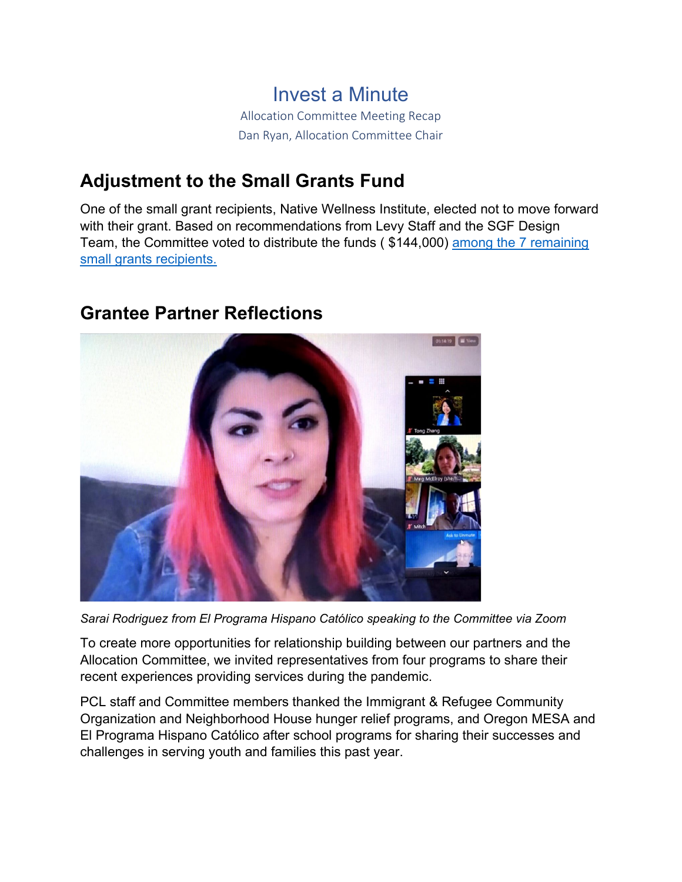Invest a Minute Allocation Committee Meeting Recap Dan Ryan, Allocation Committee Chair

### **Adjustment to the Small Grants Fund**

One of the small grant recipients, Native Wellness Institute, elected not to move forward with their grant. Based on recommendations from Levy Staff and the SGF Design Team, the Committee voted to distribute the funds ( \$144,000) [among the 7 remaining](https://www.portlandchildrenslevy.org/small-grants-fund)  [small grants](https://www.portlandchildrenslevy.org/small-grants-fund) recipients.

#### **Grantee Partner Reflections**



*Sarai Rodriguez from El Programa Hispano Católico speaking to the Committee via Zoom*

To create more opportunities for relationship building between our partners and the Allocation Committee, we invited representatives from four programs to share their recent experiences providing services during the pandemic.

PCL staff and Committee members thanked the Immigrant & Refugee Community Organization and Neighborhood House hunger relief programs, and Oregon MESA and El Programa Hispano Católico after school programs for sharing their successes and challenges in serving youth and families this past year.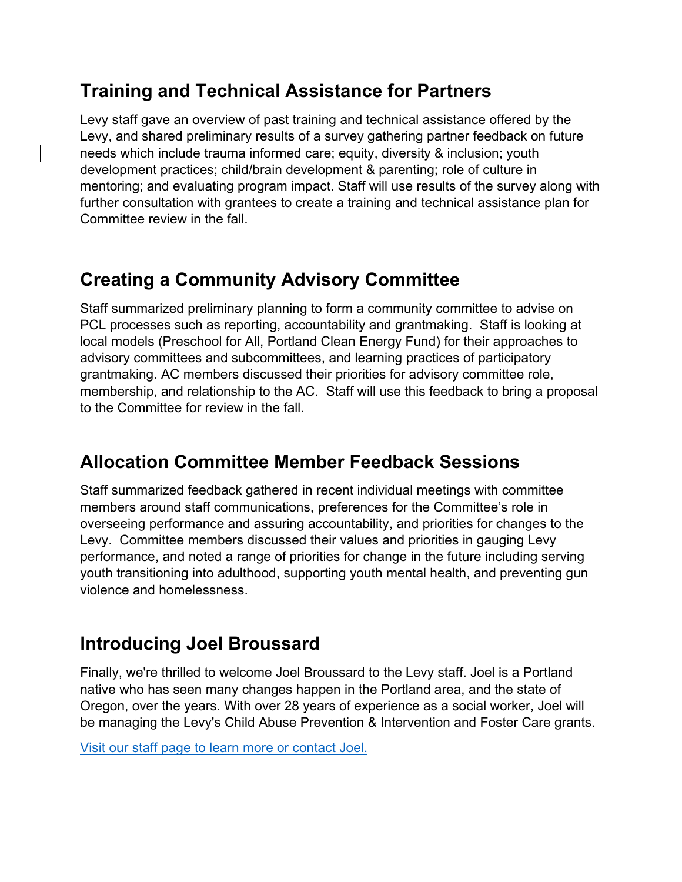### **Training and Technical Assistance for Partners**

Levy staff gave an overview of past training and technical assistance offered by the Levy, and shared preliminary results of a survey gathering partner feedback on future needs which include trauma informed care; equity, diversity & inclusion; youth development practices; child/brain development & parenting; role of culture in mentoring; and evaluating program impact. Staff will use results of the survey along with further consultation with grantees to create a training and technical assistance plan for Committee review in the fall.

# **Creating a Community Advisory Committee**

Staff summarized preliminary planning to form a community committee to advise on PCL processes such as reporting, accountability and grantmaking. Staff is looking at local models (Preschool for All, Portland Clean Energy Fund) for their approaches to advisory committees and subcommittees, and learning practices of participatory grantmaking. AC members discussed their priorities for advisory committee role, membership, and relationship to the AC. Staff will use this feedback to bring a proposal to the Committee for review in the fall.

### **Allocation Committee Member Feedback Sessions**

Staff summarized feedback gathered in recent individual meetings with committee members around staff communications, preferences for the Committee's role in overseeing performance and assuring accountability, and priorities for changes to the Levy. Committee members discussed their values and priorities in gauging Levy performance, and noted a range of priorities for change in the future including serving youth transitioning into adulthood, supporting youth mental health, and preventing gun violence and homelessness.

### **Introducing Joel Broussard**

Finally, we're thrilled to welcome Joel Broussard to the Levy staff. Joel is a Portland native who has seen many changes happen in the Portland area, and the state of Oregon, over the years. With over 28 years of experience as a social worker, Joel will be managing the Levy's Child Abuse Prevention & Intervention and Foster Care grants.

[Visit our staff page to learn more or contact Joel.](https://www.portlandchildrenslevy.org/about-us/staff)